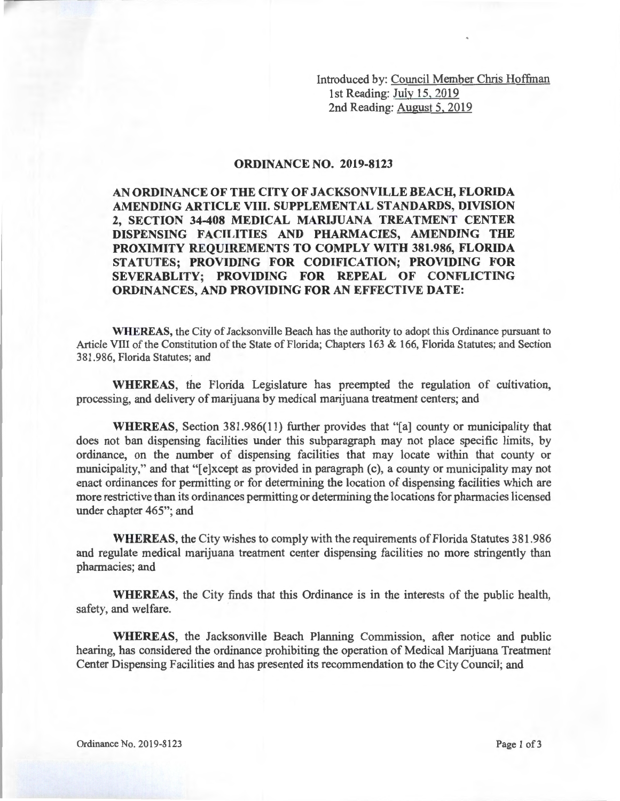Introduced by: Council Member Chris Hoffman 1st Reading: July 15, 2019 2nd Reading: August 5, 2019

## **ORDINANCE NO. 2019-8123**

**AN ORDINANCE OF THE CITY OF JACKSONVILLE BEACH, FLORIDA AMENDING ARTICLE VIII. SUPPLEMENTAL STANDARDS, DIVISION 2, SECTION 34-408 MEDICAL MARIJUANA TREATMENT CENTER DISPENSING FACILITIES AND PHARMACIES, AMENDING THE PROXIMITY REQUIREMENTS TO COMPLY WITH 381.986, FLORIDA STATUTES; PROVIDING FOR CODIFICATION; PROVIDING FOR SEVERABLITY; PROVIDING FOR REPEAL OF CONFLICTING ORDINANCES, AND PROVIDING FOR AN EFFECTIVE DATE:** 

**WHEREAS,** the City of Jacksonville Beach has the authority to adopt this Ordinance pursuant to Article VIII of the Constitution of the State of Florida; Chapters 163 & 166, Florida Statutes; and Section 381.986, Florida Statutes; and

**WHEREAS,** the Florida Legislature has preempted the regulation of cultivation, processing, and delivery of marijuana by medical marijuana treatment centers; and

**WHEREAS,** Section 381.986(11) further provides that "[a] county or municipality that does not ban dispensing facilities under this subparagraph may not place specific limits, by ordinance, on the number of dispensing facilities that may locate within that county or municipality," and that "[e]xcept as provided in paragraph (c), a county or municipality may not enact ordinances for permitting or for determining the location of dispensing facilities which are more restrictive than its ordinances permitting or determining the locations for pharmacies licensed under chapter 465"; and

**WHEREAS,** the City wishes to comply with the requirements of Florida Statutes 381.986 and regulate medical marijuana treatment center dispensing facilities no more stringently than pharmacies; and

**WHEREAS,** the City finds that this Ordinance is in the interests of the public health, safety, and welfare.

**WHEREAS,** the Jacksonville Beach Planning Commission, after notice and public hearing, has considered the ordinance prohibiting the operation of Medical Marijuana Treatment Center Dispensing Facilities and has presented its recommendation to the City Council; and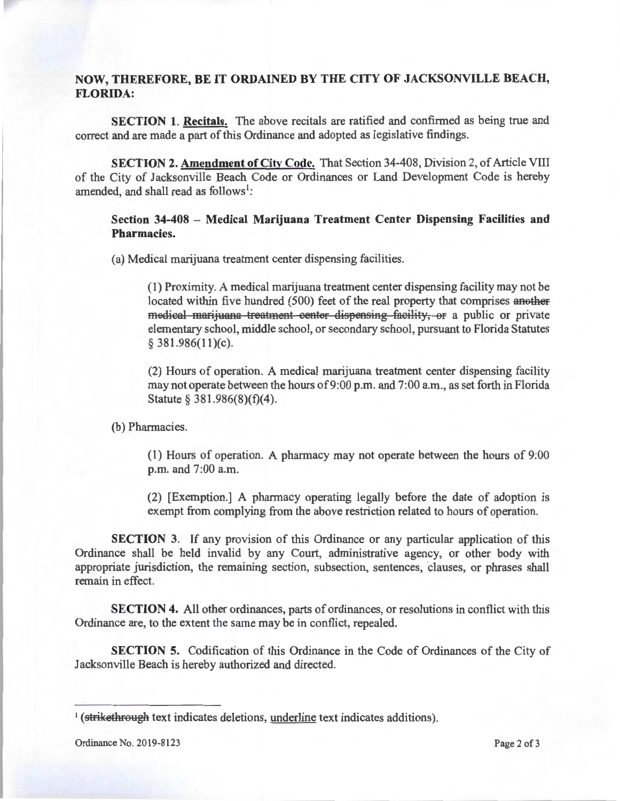## **NOW, THEREFORE, BE IT ORDAINED BY THE CITY OF JACKSONVILLE BEACH, FLORIDA:**

**SECTION 1. Recitals.** The above recitals are ratified and confirmed as being true and correct and are made a part of this Ordinance and adopted as legislative findings.

**SECTION 2. Amendment of City Code.** That Section 34-408, Division 2, of Article VIII of the City of Jacksonville Beach Code or Ordinances or Land Development Code is hereby amended, and shall read as follows<sup>1</sup>:

## **Section 34-408 - Medical Marijuana Treatment Center Dispensing Facilities and Pharmacies.**

(a) Medical marijuana treatment center dispensing facilities.

(1) Proximity. A medical marijuana treatment center dispensing facility may not be located within five hundred (500) feet of the real property that comprises another medical marijuana treatment center dispensing facility, or a public or private elementary school, middle school, or secondary school, pursuant to Florida Statutes  $§$  381.986(11)(c).

(2) Hours of operation. A medical marijuana treatment center dispensing facility may not operate between the hours of 9:00 p.m. and 7:00 a.m., as set forth in Florida Statute § 381.986(8)(f)(4).

(b) Pharmacies.

(1) Hours of operation. A pharmacy may not operate between the hours of 9:00 p.m. and 7:00 a.m.

(2) [Exemption.] A pharmacy operating legally before the date of adoption is exempt from complying from the above restriction related to hours of operation.

**SECTION 3.** If any provision of this Ordinance or any particular application of this Ordinance shall be held invalid by any Court, administrative agency, or other body with appropriate jurisdiction, the remaining section, subsection, sentences, clauses, or phrases shall remain in effect.

**SECTION 4.** All other ordinances, parts of ordinances, or resolutions in conflict with this Ordinance are, to the extent the same may be in conflict, repealed.

**SECTION 5.** Codification of this Ordinance in the Code of Ordinances of the City of Jacksonville Beach is hereby authorized and directed.

<sup>&</sup>lt;sup>1</sup> (strikethrough text indicates deletions, underline text indicates additions).